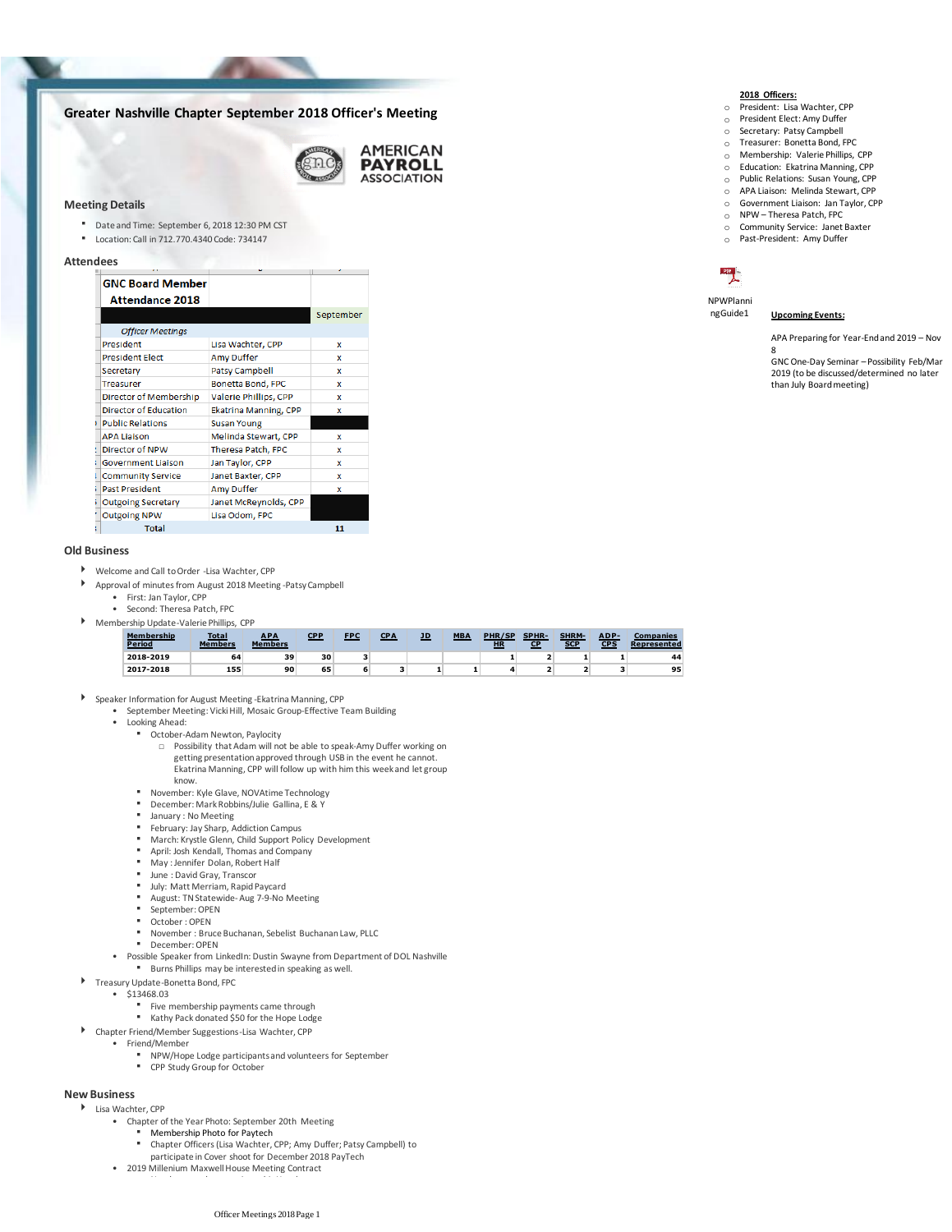# **Greater Nashville Chapter September 2018 Officer's Meeting**



## **Meeting Details**

- Date and Time: September 6, 2018 12:30 PM CST
- Location: Call in 712.770.4340 Code: 734147

### **Attendees**

| <b>GNC Board Member</b><br><b>Attendance 2018</b> |                              |           |
|---------------------------------------------------|------------------------------|-----------|
|                                                   |                              | September |
| <b>Officer Meetings</b>                           |                              |           |
| President                                         | Lisa Wachter, CPP            | x         |
| <b>President Elect</b>                            | <b>Amy Duffer</b>            | x         |
| Secretary                                         | <b>Patsy Campbell</b>        | x         |
| <b>Treasurer</b>                                  | Bonetta Bond, FPC            | x         |
| Director of Membership                            | Valerie Phillips, CPP        | x         |
| <b>Director of Education</b>                      | <b>Ekatrina Manning, CPP</b> | x         |
| <b>Public Relations</b>                           | <b>Susan Young</b>           |           |
| <b>APA Liaison</b>                                | Melinda Stewart, CPP         | x         |
| Director of NPW                                   | Theresa Patch, FPC           | x         |
| <b>Government Liaison</b>                         | Jan Taylor, CPP              | x         |
| <b>Community Service</b>                          | Janet Baxter, CPP            | x         |
| <b>Past President</b>                             | <b>Amy Duffer</b>            | x         |
| <b>Outgoing Secretary</b>                         | Janet McReynolds, CPP        |           |
| <b>Outgoing NPW</b>                               | Lisa Odom, FPC               |           |
| <b>Total</b>                                      |                              | 11        |

# **Old Business**

- Welcome and Call to Order -Lisa Wachter, CPP
	- Approval of minutes from August 2018 Meeting -Patsy Campbell
		- First: Jan Taylor, CPP
	- Second: Theresa Patch, FPC
- Membership Update-Valerie Phillips, CPP

| Membership<br><b>Period</b> | <b>Total</b><br><b>Members</b> | <b>APA</b><br><b>Members</b> | <b>CPP</b> | <b>FPC</b> | CPA | JD | <b>MBA</b> | PHR/SP<br><b>HR</b> | <b>SPHR-</b><br>CP | <b>SHRM-</b><br><b>SCP</b> | ADP-<br>CPS | <b>Companies</b><br>Represented |
|-----------------------------|--------------------------------|------------------------------|------------|------------|-----|----|------------|---------------------|--------------------|----------------------------|-------------|---------------------------------|
| 2018-2019                   | 64                             | 39                           | 30         |            |     |    |            |                     |                    |                            |             | 44                              |
| 2017-2018                   | 155                            | 90                           | 65         |            |     |    |            |                     |                    |                            |             | 95                              |

- Speaker Information for August Meeting -Ekatrina Manning, CPP
	- September Meeting: Vicki Hill, Mosaic Group-Effective Team Building
	- Looking Ahead:
		- October-Adam Newton, Paylocity
			- □ Possibility that Adam will not be able to speak-Amy Duffer working on getting presentation approved through USB in the event he cannot. Ekatrina Manning, CPP will follow up with him this week and let group
		- November: Kyle Glave, NOVAtime Technology<br>■ December: Mark Bobbine (Julie Gallina, E. 8, Y
		- December: Mark Robbins/Julie Gallina, E & Y
		- January : No Meeting<br>■ February: Jay Sharn A

know.

- February: Jay Sharp, Addiction Campus
- March: Krystle Glenn, Child Support Policy Development<br>■ April: Josh Kendall, Thomas and Company
- **•** April: Josh Kendall, Thomas and Company
- **In May : Jennifer Dolan, Robert Half**
- **Ultiman: David Gray, Transcor**<br> **Ultima Matt Merriam Banid E**
- **Ully: Matt Merriam, Rapid Paycard**<br> **E** August: TN Statewide, Aug 7-9-No I
- August: TN Statewide-Aug 7-9-No Meeting
- September: OPEN
- October : OPEN
- November : Bruce Buchanan, Sebelist Buchanan Law, PLLC
- December: OPEN
- Burns Phillips may be interested in speaking as well. • Possible Speaker from LinkedIn: Dustin Swayne from Department of DOL Nashville
- 
- \$13468.03 Treasury Update-Bonetta Bond, FPC
	- - Five membership payments came through ▪ Kathy Pack donated \$50 for the Hope Lodge
- Chapter Friend/Member Suggestions-Lisa Wachter, CPP
- Friend/Member
	- NPW/Hope Lodge participants and volunteers for September
	- CPP Study Group for October

# **New Business**

- Lisa Wachter, CPP
	- Chapter of the Year Photo: September 20th Meeting
		- Membership Photo for Paytech
		- Chapter Officers (Lisa Wachter, CPP; Amy Duffer; Patsy Campbell) to ▪
	- participate in Cover shoot for December 2018 PayTech • 2019 Millenium Maxwell House Meeting Contract
		-

- **2018 Officers:** o President: Lisa Wachter, CPP o President Elect: Amy Duffer
- o Secretary: Patsy Campbell
- o Treasurer: Bonetta Bond, FPC
- o Membership: Valerie Phillips, CPP
- o Education: Ekatrina Manning, CPP
- o Public Relations: Susan Young, CPP
- o APA Liaison: Melinda Stewart, CPP
- o Government Liaison: Jan Taylor, CPP
- o NPW Theresa Patch, FPC o Community Service: Janet Baxter
- o Past-President: Amy Duffer



NPWPlanni<br>ngGuide1

### **Upcoming Events:**

APA Preparing for Year-End and 2019 – Nov

8 GNC One-Day Seminar – Possibility Feb/Mar 2019 (to be discussed/determined no later than July Board meeting)